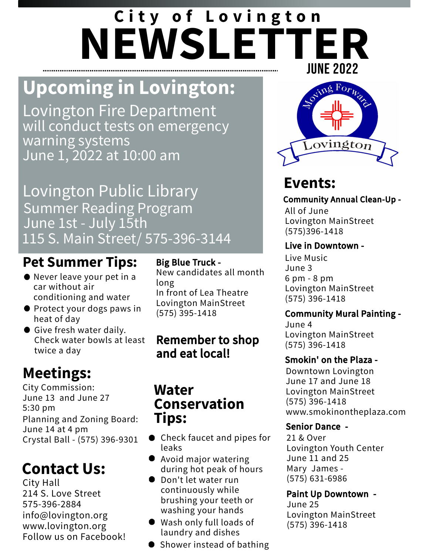# **NEWSLETTER** JUNE 2022 **C i t y o f L o v i n g t o n**

# **Upcoming in Lovington:**

Lovington Fire Department will conduct tests on emergency warning systems June 1, 2022 at 10:00 am

Lovington Public Library Summer Reading Program June 1st - July 15th 115 S. Main Street/ 575-396-3144

### **Pet Summer Tips:**

- Never leave your pet in a car without air conditioning and water
- **Protect your dogs paws in** heat of day
- Give fresh water daily. Check water bowls at least twice a day

# **Meetings:**

City Commission: June 13 and June 27 5:30 pm Planning and Zoning Board: June 14 at 4 pm Crystal Ball - (575) 396-9301

# **Contact Us:**

City Hall 214 S. Love Street 575-396-2884 info@lovington.org www.lovington.org Follow us on Facebook!

### Big Blue Truck -

New candidates all month long In front of Lea Theatre Lovington MainStreet (575) 395-1418

### Remember to shop and eat local!

### **Water Conservation Tips:**

- Check faucet and pipes for leaks
- Avoid major watering during hot peak of hours
- Don't let water run continuously while brushing your teeth or washing your hands
- Wash only full loads of laundry and dishes
- Shower instead of bathing



## **Events:**

Community Annual Clean-Up - All of June Lovington MainStreet (575)396-1418

### Live in Downtown -

Live Music June 3 6 pm - 8 pm Lovington MainStreet (575) 396-1418

### Community Mural Painting -

June 4 Lovington MainStreet (575) 396-1418

### Smokin' on the Plaza -

Downtown Lovington June 17 and June 18 Lovington MainStreet (575) 396-1418 www.smokinontheplaza.com

### Senior Dance -

21 & Over Lovington Youth Center June 11 and 25 Mary James - (575) 631-6986

### Paint Up Downtown -

June 25 Lovington MainStreet (575) 396-1418